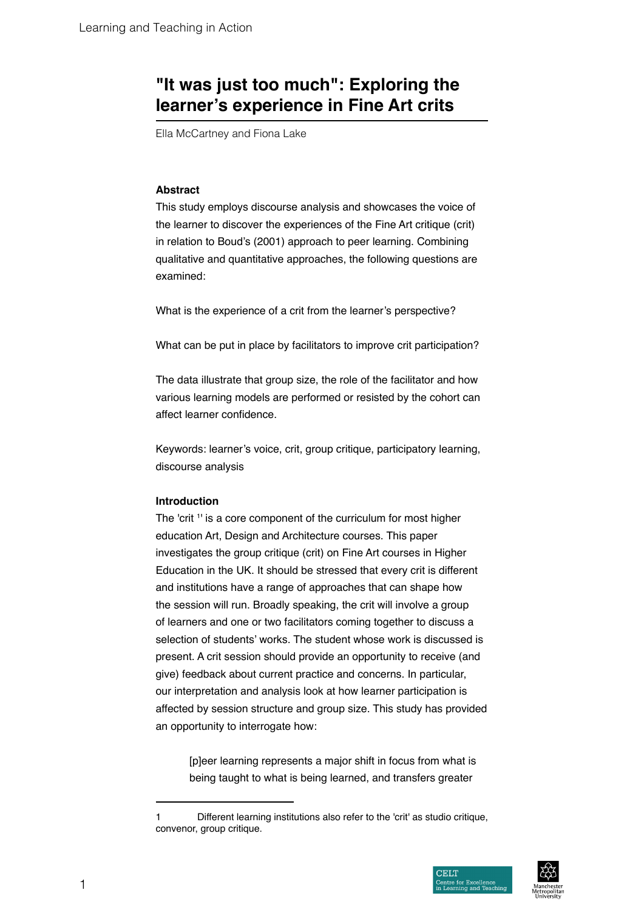# **"It was just too much": Exploring the learner's experience in Fine Art crits**

Ella McCartney and Fiona Lake

# **Abstract**

This study employs discourse analysis and showcases the voice of the learner to discover the experiences of the Fine Art critique (crit) in relation to Boud's (2001) approach to peer learning. Combining qualitative and quantitative approaches, the following questions are examined:

What is the experience of a crit from the learner's perspective?

What can be put in place by facilitators to improve crit participation?

The data illustrate that group size, the role of the facilitator and how various learning models are performed or resisted by the cohort can affect learner confidence.

Keywords: learner's voice, crit, group critique, participatory learning, discourse analysis

#### **Introduction**

The 'crit 1 ' is a core component of the curriculum for most higher education Art, Design and Architecture courses. This paper investigates the group critique (crit) on Fine Art courses in Higher Education in the UK. It should be stressed that every crit is different and institutions have a range of approaches that can shape how the session will run. Broadly speaking, the crit will involve a group of learners and one or two facilitators coming together to discuss a selection of students' works. The student whose work is discussed is present. A crit session should provide an opportunity to receive (and give) feedback about current practice and concerns. In particular, our interpretation and analysis look at how learner participation is affected by session structure and group size. This study has provided an opportunity to interrogate how:

> [p]eer learning represents a major shift in focus from what is being taught to what is being learned, and transfers greater

<sup>1</sup> Different learning institutions also refer to the 'crit' as studio critique, convenor, group critique.



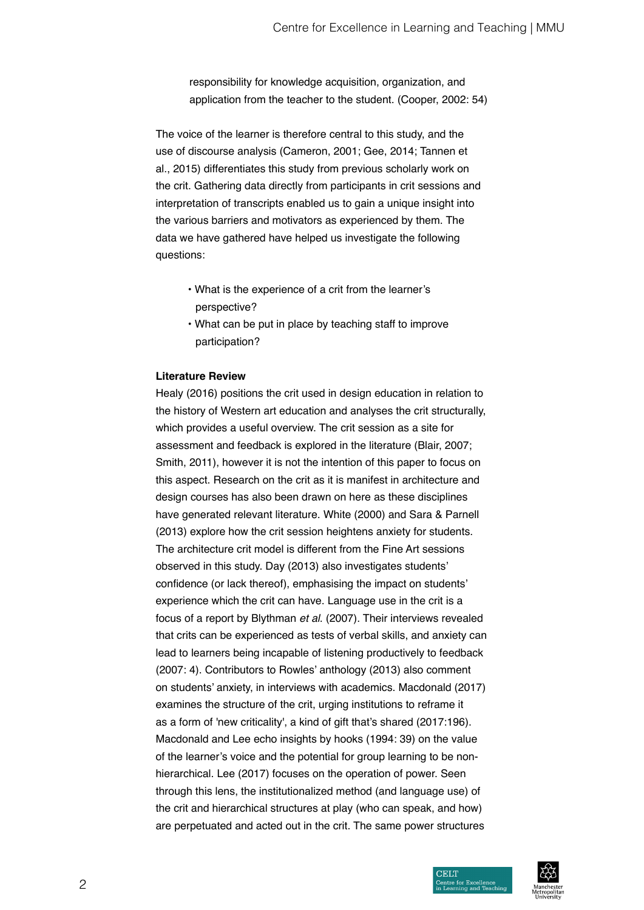responsibility for knowledge acquisition, organization, and application from the teacher to the student. (Cooper, 2002: 54)

The voice of the learner is therefore central to this study, and the use of discourse analysis (Cameron, 2001; Gee, 2014; Tannen et al., 2015) differentiates this study from previous scholarly work on the crit. Gathering data directly from participants in crit sessions and interpretation of transcripts enabled us to gain a unique insight into the various barriers and motivators as experienced by them. The data we have gathered have helped us investigate the following questions:

- What is the experience of a crit from the learner's perspective?
- What can be put in place by teaching staff to improve participation?

#### **Literature Review**

Healy (2016) positions the crit used in design education in relation to the history of Western art education and analyses the crit structurally, which provides a useful overview. The crit session as a site for assessment and feedback is explored in the literature (Blair, 2007; Smith, 2011), however it is not the intention of this paper to focus on this aspect. Research on the crit as it is manifest in architecture and design courses has also been drawn on here as these disciplines have generated relevant literature. White (2000) and Sara & Parnell (2013) explore how the crit session heightens anxiety for students. The architecture crit model is different from the Fine Art sessions observed in this study. Day (2013) also investigates students' confidence (or lack thereof), emphasising the impact on students' experience which the crit can have. Language use in the crit is a focus of a report by Blythman *et al*. (2007). Their interviews revealed that crits can be experienced as tests of verbal skills, and anxiety can lead to learners being incapable of listening productively to feedback (2007: 4). Contributors to Rowles' anthology (2013) also comment on students' anxiety, in interviews with academics. Macdonald (2017) examines the structure of the crit, urging institutions to reframe it as a form of 'new criticality', a kind of gift that's shared (2017:196). Macdonald and Lee echo insights by hooks (1994: 39) on the value of the learner's voice and the potential for group learning to be nonhierarchical. Lee (2017) focuses on the operation of power. Seen through this lens, the institutionalized method (and language use) of the crit and hierarchical structures at play (who can speak, and how) are perpetuated and acted out in the crit. The same power structures

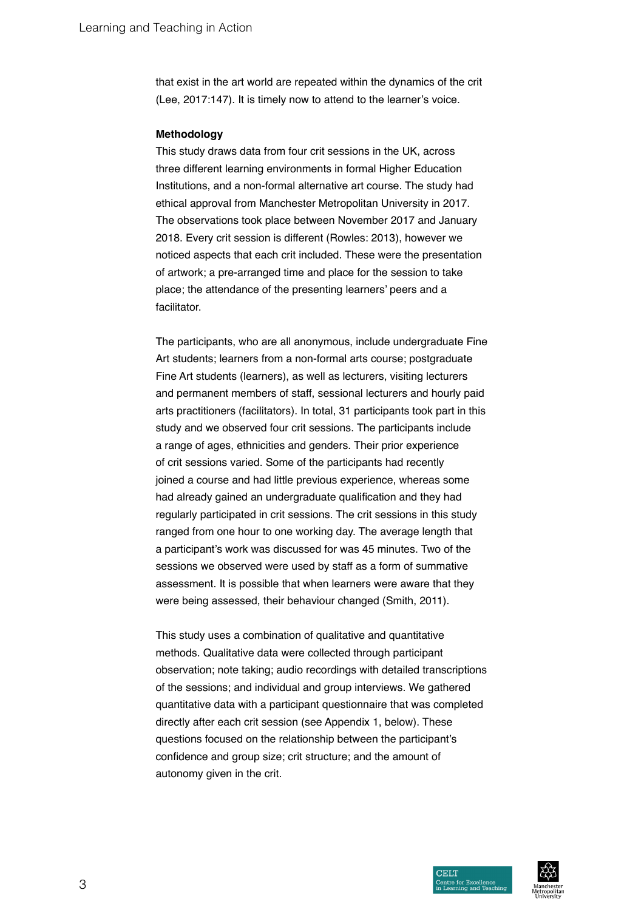that exist in the art world are repeated within the dynamics of the crit (Lee, 2017:147). It is timely now to attend to the learner's voice.

#### **Methodology**

This study draws data from four crit sessions in the UK, across three different learning environments in formal Higher Education Institutions, and a non-formal alternative art course. The study had ethical approval from Manchester Metropolitan University in 2017. The observations took place between November 2017 and January 2018. Every crit session is different (Rowles: 2013), however we noticed aspects that each crit included. These were the presentation of artwork; a pre-arranged time and place for the session to take place; the attendance of the presenting learners' peers and a facilitator.

The participants, who are all anonymous, include undergraduate Fine Art students; learners from a non-formal arts course; postgraduate Fine Art students (learners), as well as lecturers, visiting lecturers and permanent members of staff, sessional lecturers and hourly paid arts practitioners (facilitators). In total, 31 participants took part in this study and we observed four crit sessions. The participants include a range of ages, ethnicities and genders. Their prior experience of crit sessions varied. Some of the participants had recently joined a course and had little previous experience, whereas some had already gained an undergraduate qualification and they had regularly participated in crit sessions. The crit sessions in this study ranged from one hour to one working day. The average length that a participant's work was discussed for was 45 minutes. Two of the sessions we observed were used by staff as a form of summative assessment. It is possible that when learners were aware that they were being assessed, their behaviour changed (Smith, 2011).

This study uses a combination of qualitative and quantitative methods. Qualitative data were collected through participant observation; note taking; audio recordings with detailed transcriptions of the sessions; and individual and group interviews. We gathered quantitative data with a participant questionnaire that was completed directly after each crit session (see Appendix 1, below). These questions focused on the relationship between the participant's confidence and group size; crit structure; and the amount of autonomy given in the crit.

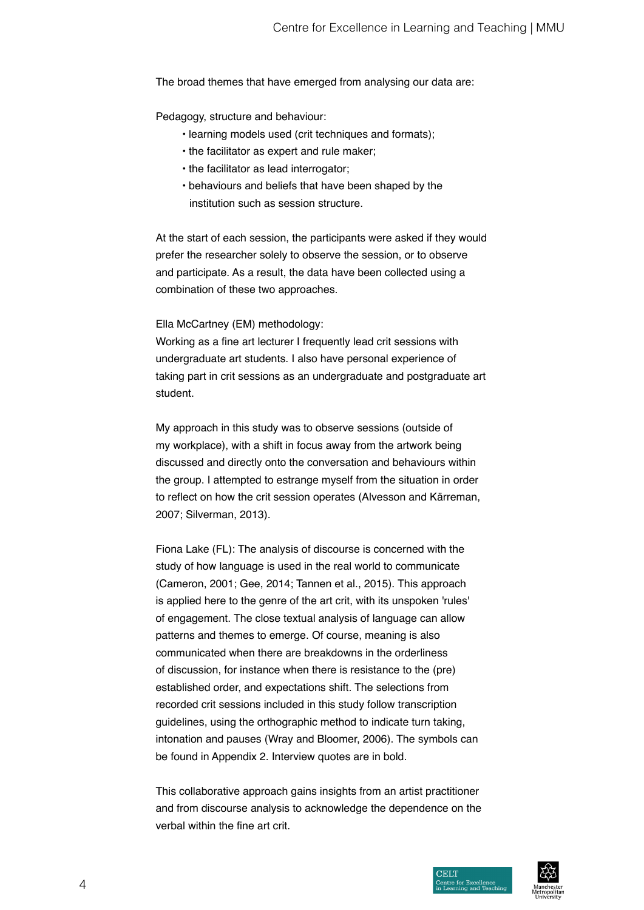The broad themes that have emerged from analysing our data are:

Pedagogy, structure and behaviour:

- learning models used (crit techniques and formats);
- the facilitator as expert and rule maker;
- the facilitator as lead interrogator;
- behaviours and beliefs that have been shaped by the institution such as session structure.

At the start of each session, the participants were asked if they would prefer the researcher solely to observe the session, or to observe and participate. As a result, the data have been collected using a combination of these two approaches.

#### Ella McCartney (EM) methodology:

Working as a fine art lecturer I frequently lead crit sessions with undergraduate art students. I also have personal experience of taking part in crit sessions as an undergraduate and postgraduate art student.

My approach in this study was to observe sessions (outside of my workplace), with a shift in focus away from the artwork being discussed and directly onto the conversation and behaviours within the group. I attempted to estrange myself from the situation in order to reflect on how the crit session operates (Alvesson and Kärreman, 2007; Silverman, 2013).

Fiona Lake (FL): The analysis of discourse is concerned with the study of how language is used in the real world to communicate (Cameron, 2001; Gee, 2014; Tannen et al., 2015). This approach is applied here to the genre of the art crit, with its unspoken 'rules' of engagement. The close textual analysis of language can allow patterns and themes to emerge. Of course, meaning is also communicated when there are breakdowns in the orderliness of discussion, for instance when there is resistance to the (pre) established order, and expectations shift. The selections from recorded crit sessions included in this study follow transcription guidelines, using the orthographic method to indicate turn taking, intonation and pauses (Wray and Bloomer, 2006). The symbols can be found in Appendix 2. Interview quotes are in bold.

This collaborative approach gains insights from an artist practitioner and from discourse analysis to acknowledge the dependence on the verbal within the fine art crit.

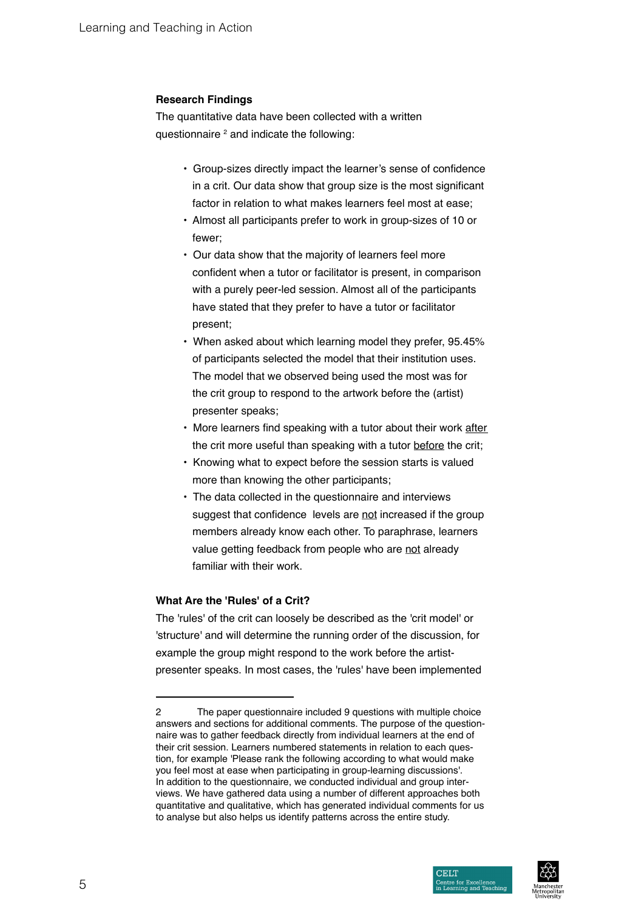# **Research Findings**

The quantitative data have been collected with a written questionnaire <sup>2</sup> and indicate the following:

- Group-sizes directly impact the learner's sense of confidence in a crit. Our data show that group size is the most significant factor in relation to what makes learners feel most at ease;
- Almost all participants prefer to work in group-sizes of 10 or fewer;
- Our data show that the majority of learners feel more confident when a tutor or facilitator is present, in comparison with a purely peer-led session. Almost all of the participants have stated that they prefer to have a tutor or facilitator present;
- When asked about which learning model they prefer, 95.45% of participants selected the model that their institution uses. The model that we observed being used the most was for the crit group to respond to the artwork before the (artist) presenter speaks;
- More learners find speaking with a tutor about their work after the crit more useful than speaking with a tutor before the crit;
- Knowing what to expect before the session starts is valued more than knowing the other participants;
- The data collected in the questionnaire and interviews suggest that confidence levels are not increased if the group members already know each other. To paraphrase, learners value getting feedback from people who are not already familiar with their work.

# **What Are the 'Rules' of a Crit?**

The 'rules' of the crit can loosely be described as the 'crit model' or 'structure' and will determine the running order of the discussion, for example the group might respond to the work before the artistpresenter speaks. In most cases, the 'rules' have been implemented

<sup>2</sup> The paper questionnaire included 9 questions with multiple choice answers and sections for additional comments. The purpose of the questionnaire was to gather feedback directly from individual learners at the end of their crit session. Learners numbered statements in relation to each question, for example 'Please rank the following according to what would make you feel most at ease when participating in group-learning discussions'. In addition to the questionnaire, we conducted individual and group interviews. We have gathered data using a number of different approaches both quantitative and qualitative, which has generated individual comments for us to analyse but also helps us identify patterns across the entire study.



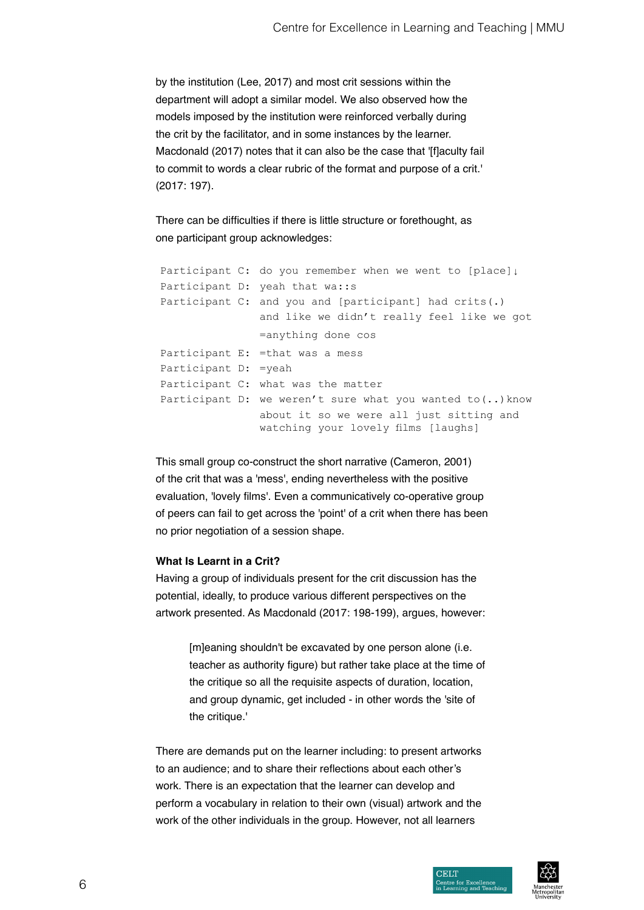by the institution (Lee, 2017) and most crit sessions within the department will adopt a similar model. We also observed how the models imposed by the institution were reinforced verbally during the crit by the facilitator, and in some instances by the learner. Macdonald (2017) notes that it can also be the case that '[f]aculty fail to commit to words a clear rubric of the format and purpose of a crit.' (2017: 197).

There can be difficulties if there is little structure or forethought, as one participant group acknowledges:

Participant C: do you remember when we went to [place]↓ Participant D: yeah that wa::s Participant C: and you and [participant] had crits(.) and like we didn't really feel like we got =anything done cos Participant E: =that was a mess Participant D: =yeah Participant C: what was the matter Participant D: we weren't sure what you wanted to (..) know about it so we were all just sitting and watching your lovely films [laughs]

This small group co-construct the short narrative (Cameron, 2001) of the crit that was a 'mess', ending nevertheless with the positive evaluation, 'lovely films'. Even a communicatively co-operative group of peers can fail to get across the 'point' of a crit when there has been no prior negotiation of a session shape.

### **What Is Learnt in a Crit?**

Having a group of individuals present for the crit discussion has the potential, ideally, to produce various different perspectives on the artwork presented. As Macdonald (2017: 198-199), argues, however:

[m]eaning shouldn't be excavated by one person alone (i.e. teacher as authority figure) but rather take place at the time of the critique so all the requisite aspects of duration, location, and group dynamic, get included - in other words the 'site of the critique.'

There are demands put on the learner including: to present artworks to an audience; and to share their reflections about each other's work. There is an expectation that the learner can develop and perform a vocabulary in relation to their own (visual) artwork and the work of the other individuals in the group. However, not all learners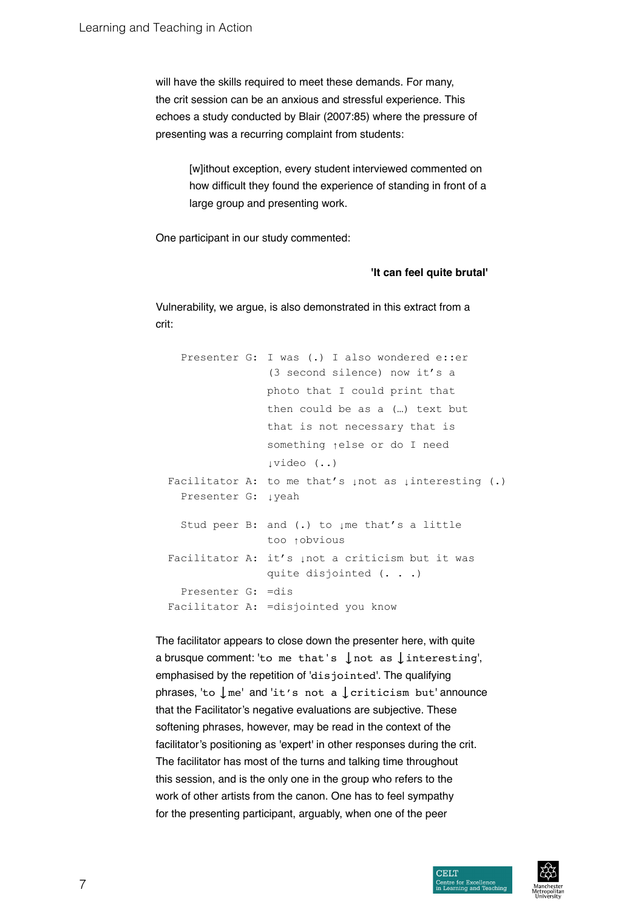will have the skills required to meet these demands. For many, the crit session can be an anxious and stressful experience. This echoes a study conducted by Blair (2007:85) where the pressure of presenting was a recurring complaint from students:

> [w]ithout exception, every student interviewed commented on how difficult they found the experience of standing in front of a large group and presenting work.

One participant in our study commented:

#### **'It can feel quite brutal'**

Vulnerability, we argue, is also demonstrated in this extract from a crit:

Presenter G: I was (.) I also wondered e::er (3 second silence) now it's a photo that I could print that then could be as a (…) text but that is not necessary that is something ↑else or do I need ↓video (..) Facilitator A: to me that's µnot as µinteresting (.) Presenter G: ↓yeah Stud peer B: and (.) to µme that's a little too ↑obvious Facilitator A: it's ↓not a criticism but it was quite disjointed (. . .) Presenter G: =dis Facilitator A: =disjointed you know

The facilitator appears to close down the presenter here, with quite a brusque comment: 'to me that's  $\int$  not as  $\int$  interesting', emphasised by the repetition of 'disjointed'. The qualifying phrases, 'to  $\ln$ <sup>me'</sup> and 'it's not a  $\ln$  criticism but' announce that the Facilitator's negative evaluations are subjective. These softening phrases, however, may be read in the context of the facilitator's positioning as 'expert' in other responses during the crit. The facilitator has most of the turns and talking time throughout this session, and is the only one in the group who refers to the work of other artists from the canon. One has to feel sympathy for the presenting participant, arguably, when one of the peer



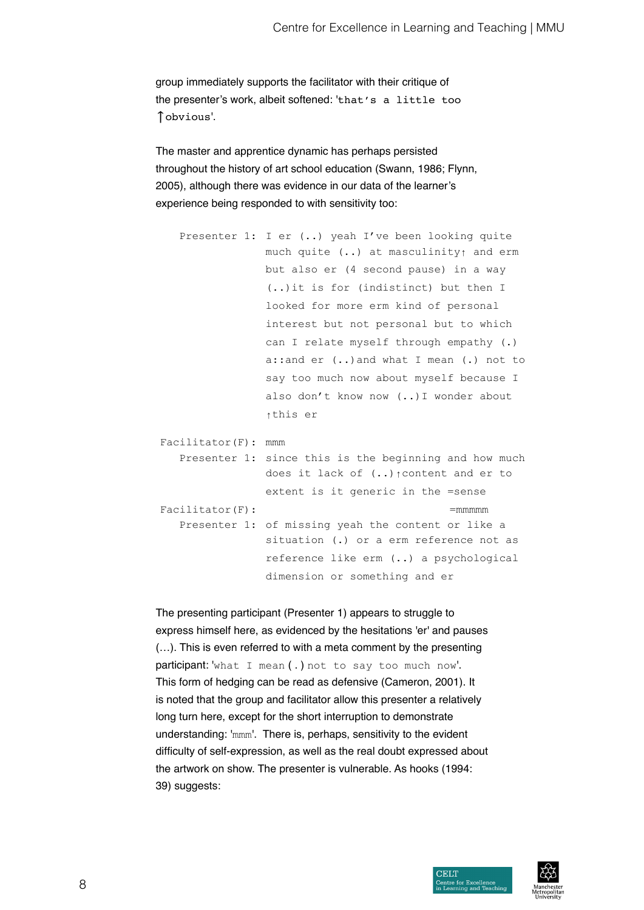group immediately supports the facilitator with their critique of the presenter's work, albeit softened: 'that's a little too ↑obvious'.

The master and apprentice dynamic has perhaps persisted throughout the history of art school education (Swann, 1986; Flynn, 2005), although there was evidence in our data of the learner's experience being responded to with sensitivity too:

```
Presenter 1: I er (..) yeah I've been looking quite 
               much quite (..) at masculinity↑ and erm
               but also er (4 second pause) in a way 
                (..)it is for (indistinct) but then I 
                looked for more erm kind of personal 
                interest but not personal but to which 
                can I relate myself through empathy (.) 
                a::and er (..)and what I mean (.) not to 
                say too much now about myself because I 
                also don't know now (..)I wonder about 
                ↑this er
Facilitator(F): mmm
  Presenter 1: since this is the beginning and how much
               does it lack of (..)↑content and er to
               extent is it generic in the =sense 
Facilitator(F): =mmmmm
```
Presenter 1: of missing yeah the content or like a situation (.) or a erm reference not as reference like erm (..) a psychological dimension or something and er

The presenting participant (Presenter 1) appears to struggle to express himself here, as evidenced by the hesitations 'er' and pauses (…). This is even referred to with a meta comment by the presenting participant: 'what I mean ( . ) not to say too much now'. This form of hedging can be read as defensive (Cameron, 2001). It is noted that the group and facilitator allow this presenter a relatively long turn here, except for the short interruption to demonstrate understanding: 'mmm'. There is, perhaps, sensitivity to the evident difficulty of self-expression, as well as the real doubt expressed about the artwork on show. The presenter is vulnerable. As hooks (1994: 39) suggests:

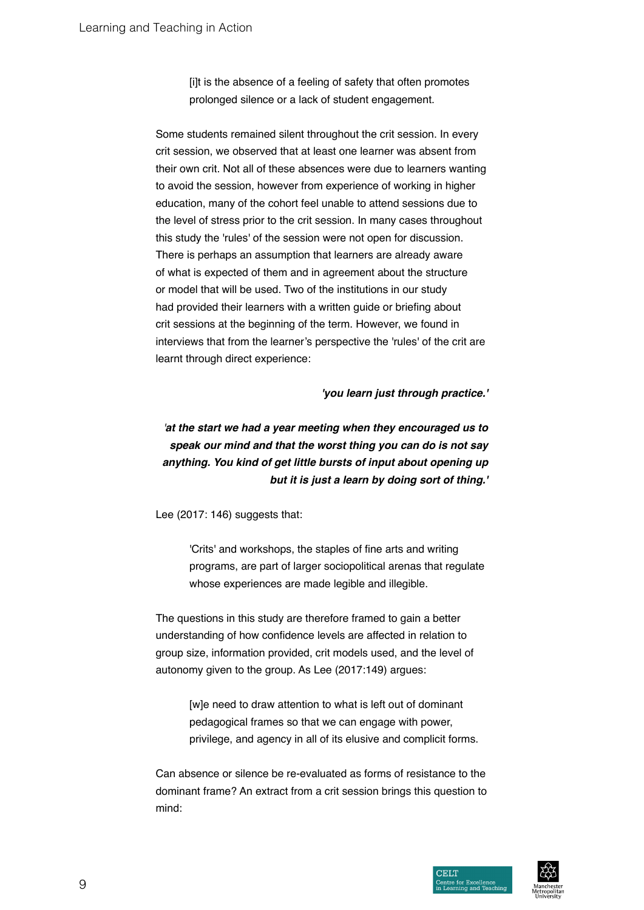[i]t is the absence of a feeling of safety that often promotes prolonged silence or a lack of student engagement.

Some students remained silent throughout the crit session. In every crit session, we observed that at least one learner was absent from their own crit. Not all of these absences were due to learners wanting to avoid the session, however from experience of working in higher education, many of the cohort feel unable to attend sessions due to the level of stress prior to the crit session. In many cases throughout this study the 'rules' of the session were not open for discussion. There is perhaps an assumption that learners are already aware of what is expected of them and in agreement about the structure or model that will be used. Two of the institutions in our study had provided their learners with a written guide or briefing about crit sessions at the beginning of the term. However, we found in interviews that from the learner's perspective the 'rules' of the crit are learnt through direct experience:

#### **'you learn just through practice.'**

*'***at the start we had a year meeting when they encouraged us to speak our mind and that the worst thing you can do is not say anything. You kind of get little bursts of input about opening up but it is just a learn by doing sort of thing.'**

Lee (2017: 146) suggests that:

'Crits' and workshops, the staples of fine arts and writing programs, are part of larger sociopolitical arenas that regulate whose experiences are made legible and illegible.

The questions in this study are therefore framed to gain a better understanding of how confidence levels are affected in relation to group size, information provided, crit models used, and the level of autonomy given to the group. As Lee (2017:149) argues:

> [w]e need to draw attention to what is left out of dominant pedagogical frames so that we can engage with power, privilege, and agency in all of its elusive and complicit forms.

Can absence or silence be re-evaluated as forms of resistance to the dominant frame? An extract from a crit session brings this question to mind:

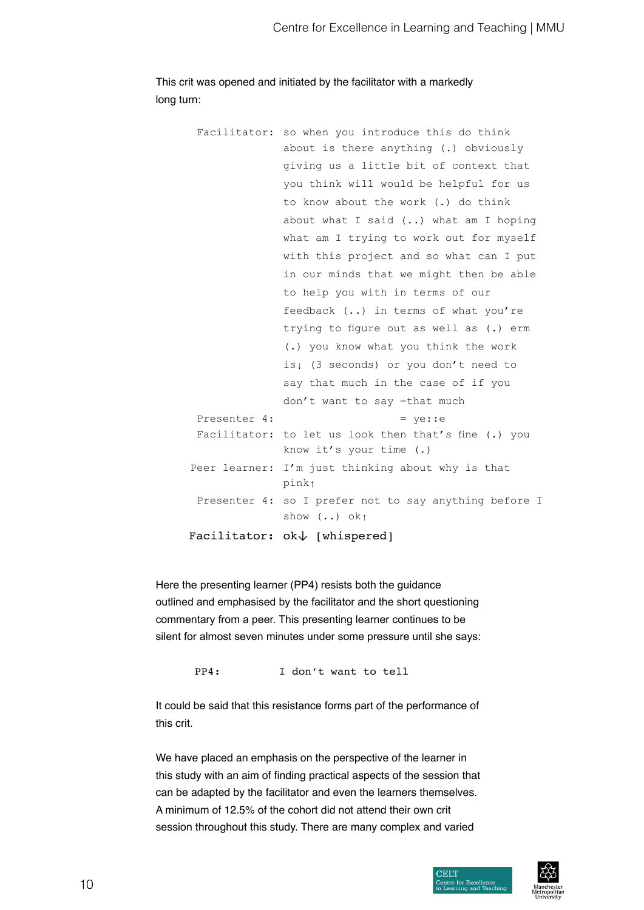This crit was opened and initiated by the facilitator with a markedly long turn:

|               | Facilitator: $ok\downarrow$ [whispered]                                                             |
|---------------|-----------------------------------------------------------------------------------------------------|
|               | Presenter 4: so I prefer not to say anything before I<br>show $\left( \ldots \right)$ ok $\uparrow$ |
|               | pink <sub>1</sub>                                                                                   |
| Peer learner: | know it's your time $(.)$<br>I'm just thinking about why is that                                    |
| Facilitator:  | to let us look then that's fine (.) you                                                             |
| Presenter 4:  | $= ye:ee$                                                                                           |
|               | don't want to say =that much                                                                        |
|               | say that much in the case of if you                                                                 |
|               | is, (3 seconds) or you don't need to                                                                |
|               | (.) you know what you think the work                                                                |
|               | trying to figure out as well as (.) erm                                                             |
|               | feedback () in terms of what you're                                                                 |
|               | to help you with in terms of our                                                                    |
|               | in our minds that we might then be able                                                             |
|               | with this project and so what can I put                                                             |
|               | what am I trying to work out for myself                                                             |
|               | about what I said () what am I hoping                                                               |
|               | to know about the work (.) do think                                                                 |
|               | you think will would be helpful for us                                                              |
|               | giving us a little bit of context that                                                              |
|               | about is there anything (.) obviously                                                               |
|               | Facilitator: so when you introduce this do think                                                    |

Here the presenting learner (PP4) resists both the guidance outlined and emphasised by the facilitator and the short questioning commentary from a peer. This presenting learner continues to be silent for almost seven minutes under some pressure until she says:

PP4: I don't want to tell

It could be said that this resistance forms part of the performance of this crit.

We have placed an emphasis on the perspective of the learner in this study with an aim of finding practical aspects of the session that can be adapted by the facilitator and even the learners themselves. A minimum of 12.5% of the cohort did not attend their own crit session throughout this study. There are many complex and varied

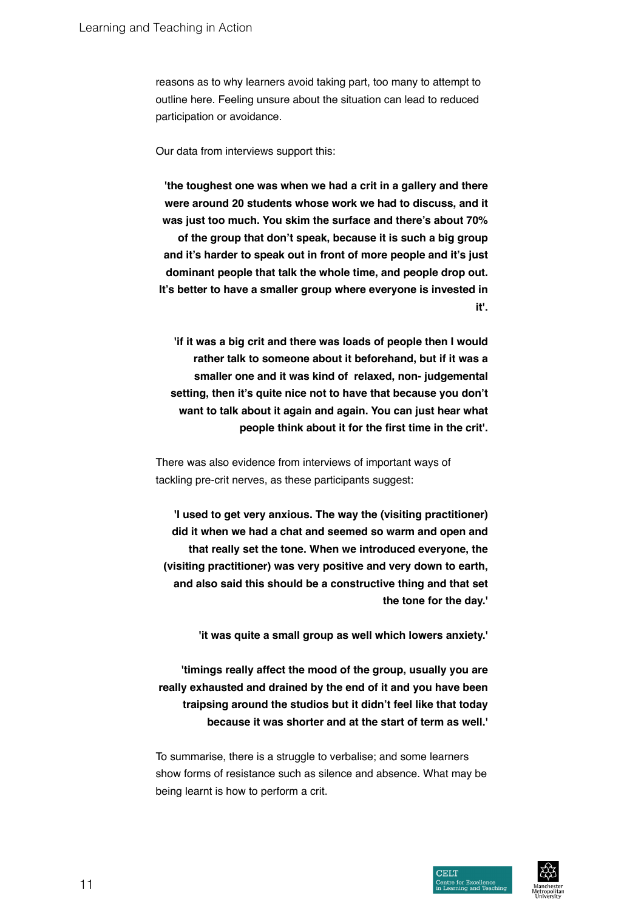reasons as to why learners avoid taking part, too many to attempt to outline here. Feeling unsure about the situation can lead to reduced participation or avoidance.

Our data from interviews support this:

**'the toughest one was when we had a crit in a gallery and there were around 20 students whose work we had to discuss, and it was just too much. You skim the surface and there's about 70% of the group that don't speak, because it is such a big group and it's harder to speak out in front of more people and it's just dominant people that talk the whole time, and people drop out. It's better to have a smaller group where everyone is invested in it'.**

 **'if it was a big crit and there was loads of people then I would rather talk to someone about it beforehand, but if it was a smaller one and it was kind of relaxed, non- judgemental setting, then it's quite nice not to have that because you don't want to talk about it again and again. You can just hear what people think about it for the first time in the crit'.**

There was also evidence from interviews of important ways of tackling pre-crit nerves, as these participants suggest:

**'I used to get very anxious. The way the (visiting practitioner) did it when we had a chat and seemed so warm and open and that really set the tone. When we introduced everyone, the (visiting practitioner) was very positive and very down to earth, and also said this should be a constructive thing and that set the tone for the day.'**

 **'it was quite a small group as well which lowers anxiety.'**

**'timings really affect the mood of the group, usually you are really exhausted and drained by the end of it and you have been traipsing around the studios but it didn't feel like that today because it was shorter and at the start of term as well.'**

To summarise, there is a struggle to verbalise; and some learners show forms of resistance such as silence and absence. What may be being learnt is how to perform a crit.

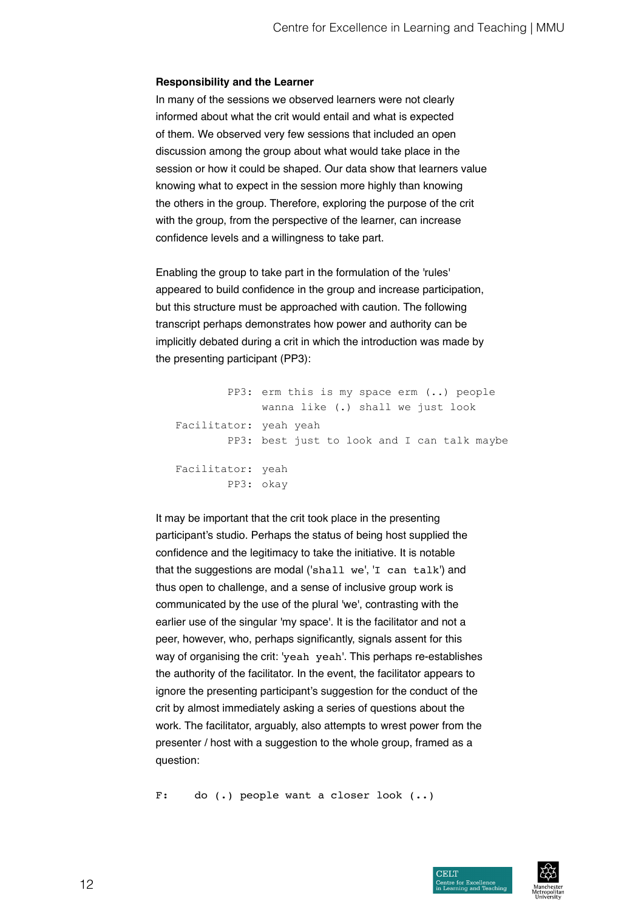#### **Responsibility and the Learner**

In many of the sessions we observed learners were not clearly informed about what the crit would entail and what is expected of them. We observed very few sessions that included an open discussion among the group about what would take place in the session or how it could be shaped. Our data show that learners value knowing what to expect in the session more highly than knowing the others in the group. Therefore, exploring the purpose of the crit with the group, from the perspective of the learner, can increase confidence levels and a willingness to take part.

Enabling the group to take part in the formulation of the 'rules' appeared to build confidence in the group and increase participation, but this structure must be approached with caution. The following transcript perhaps demonstrates how power and authority can be implicitly debated during a crit in which the introduction was made by the presenting participant (PP3):

PP3: erm this is my space erm (..) people wanna like (.) shall we just look Facilitator: yeah yeah PP3: best just to look and I can talk maybe Facilitator: yeah PP3: okay

It may be important that the crit took place in the presenting participant's studio. Perhaps the status of being host supplied the confidence and the legitimacy to take the initiative. It is notable that the suggestions are modal ('shall we', 'I can talk') and thus open to challenge, and a sense of inclusive group work is communicated by the use of the plural 'we', contrasting with the earlier use of the singular 'my space'. It is the facilitator and not a peer, however, who, perhaps significantly, signals assent for this way of organising the crit: 'yeah yeah'. This perhaps re-establishes the authority of the facilitator. In the event, the facilitator appears to ignore the presenting participant's suggestion for the conduct of the crit by almost immediately asking a series of questions about the work. The facilitator, arguably, also attempts to wrest power from the presenter / host with a suggestion to the whole group, framed as a question:

F: do (.) people want a closer look (..)

**CELT**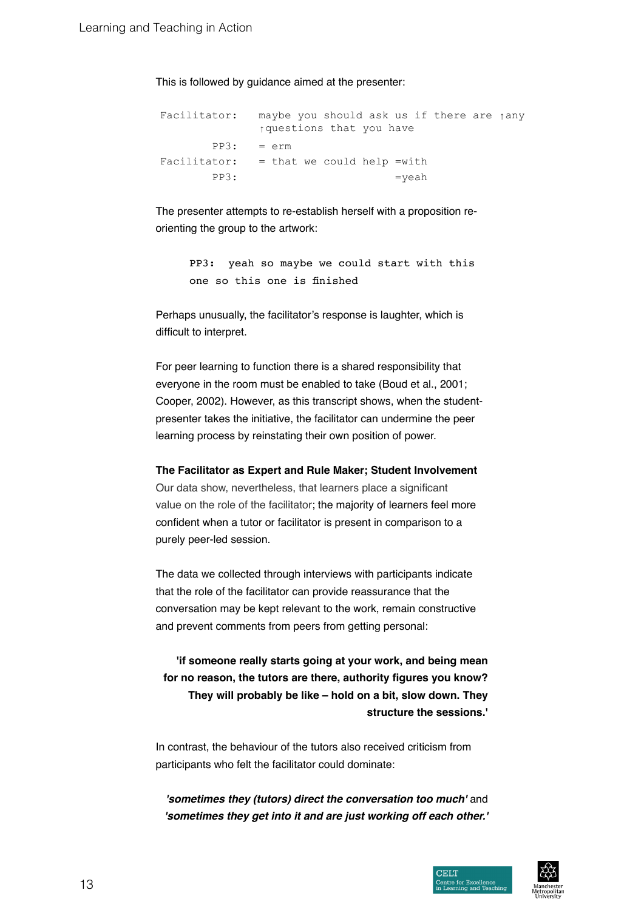This is followed by guidance aimed at the presenter:

Facilitator: maybe you should ask us if there are ↑any ↑questions that you have PP3: = erm Facilitator:  $=$  that we could help =with PP3:  $=$ yeah

The presenter attempts to re-establish herself with a proposition reorienting the group to the artwork:

> PP3: yeah so maybe we could start with this one so this one is finished

Perhaps unusually, the facilitator's response is laughter, which is difficult to interpret.

For peer learning to function there is a shared responsibility that everyone in the room must be enabled to take (Boud et al., 2001; Cooper, 2002). However, as this transcript shows, when the studentpresenter takes the initiative, the facilitator can undermine the peer learning process by reinstating their own position of power.

**The Facilitator as Expert and Rule Maker; Student Involvement**

Our data show, nevertheless, that learners place a significant value on the role of the facilitator; the majority of learners feel more confident when a tutor or facilitator is present in comparison to a purely peer-led session.

The data we collected through interviews with participants indicate that the role of the facilitator can provide reassurance that the conversation may be kept relevant to the work, remain constructive and prevent comments from peers from getting personal:

**'if someone really starts going at your work, and being mean for no reason, the tutors are there, authority figures you know? They will probably be like – hold on a bit, slow down. They structure the sessions.'**

In contrast, the behaviour of the tutors also received criticism from participants who felt the facilitator could dominate:

**'sometimes they (tutors) direct the conversation too much'** and **'sometimes they get into it and are just working off each other.'**

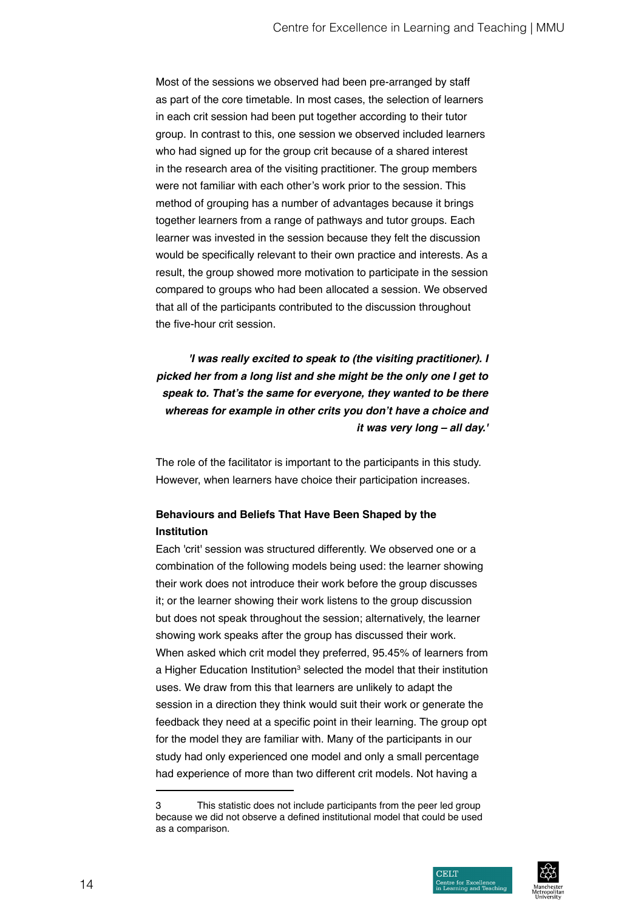Most of the sessions we observed had been pre-arranged by staff as part of the core timetable. In most cases, the selection of learners in each crit session had been put together according to their tutor group. In contrast to this, one session we observed included learners who had signed up for the group crit because of a shared interest in the research area of the visiting practitioner. The group members were not familiar with each other's work prior to the session. This method of grouping has a number of advantages because it brings together learners from a range of pathways and tutor groups. Each learner was invested in the session because they felt the discussion would be specifically relevant to their own practice and interests. As a result, the group showed more motivation to participate in the session compared to groups who had been allocated a session. We observed that all of the participants contributed to the discussion throughout the five-hour crit session.

**'I was really excited to speak to (the visiting practitioner). I picked her from a long list and she might be the only one I get to speak to. That's the same for everyone, they wanted to be there whereas for example in other crits you don't have a choice and it was very long – all day.'**

The role of the facilitator is important to the participants in this study. However, when learners have choice their participation increases.

# **Behaviours and Beliefs That Have Been Shaped by the Institution**

Each 'crit' session was structured differently. We observed one or a combination of the following models being used: the learner showing their work does not introduce their work before the group discusses it; or the learner showing their work listens to the group discussion but does not speak throughout the session; alternatively, the learner showing work speaks after the group has discussed their work. When asked which crit model they preferred, 95.45% of learners from a Higher Education Institution<sup>3</sup> selected the model that their institution uses. We draw from this that learners are unlikely to adapt the session in a direction they think would suit their work or generate the feedback they need at a specific point in their learning. The group opt for the model they are familiar with. Many of the participants in our study had only experienced one model and only a small percentage had experience of more than two different crit models. Not having a

<sup>3</sup> This statistic does not include participants from the peer led group because we did not observe a defined institutional model that could be used as a comparison.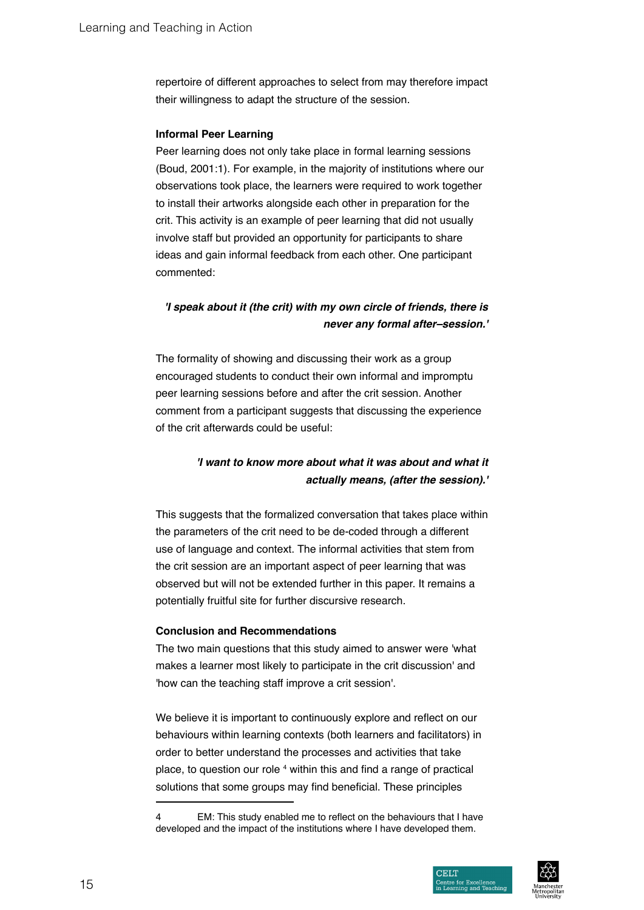repertoire of different approaches to select from may therefore impact their willingness to adapt the structure of the session.

# **Informal Peer Learning**

Peer learning does not only take place in formal learning sessions (Boud, 2001:1). For example, in the majority of institutions where our observations took place, the learners were required to work together to install their artworks alongside each other in preparation for the crit. This activity is an example of peer learning that did not usually involve staff but provided an opportunity for participants to share ideas and gain informal feedback from each other. One participant commented:

# **'I speak about it (the crit) with my own circle of friends, there is never any formal after–session.'**

The formality of showing and discussing their work as a group encouraged students to conduct their own informal and impromptu peer learning sessions before and after the crit session. Another comment from a participant suggests that discussing the experience of the crit afterwards could be useful:

# **'I want to know more about what it was about and what it actually means, (after the session).'**

This suggests that the formalized conversation that takes place within the parameters of the crit need to be de-coded through a different use of language and context. The informal activities that stem from the crit session are an important aspect of peer learning that was observed but will not be extended further in this paper. It remains a potentially fruitful site for further discursive research.

# **Conclusion and Recommendations**

The two main questions that this study aimed to answer were 'what makes a learner most likely to participate in the crit discussion' and 'how can the teaching staff improve a crit session'.

We believe it is important to continuously explore and reflect on our behaviours within learning contexts (both learners and facilitators) in order to better understand the processes and activities that take place, to question our role <sup>4</sup> within this and find a range of practical solutions that some groups may find beneficial. These principles



EM: This study enabled me to reflect on the behaviours that I have developed and the impact of the institutions where I have developed them.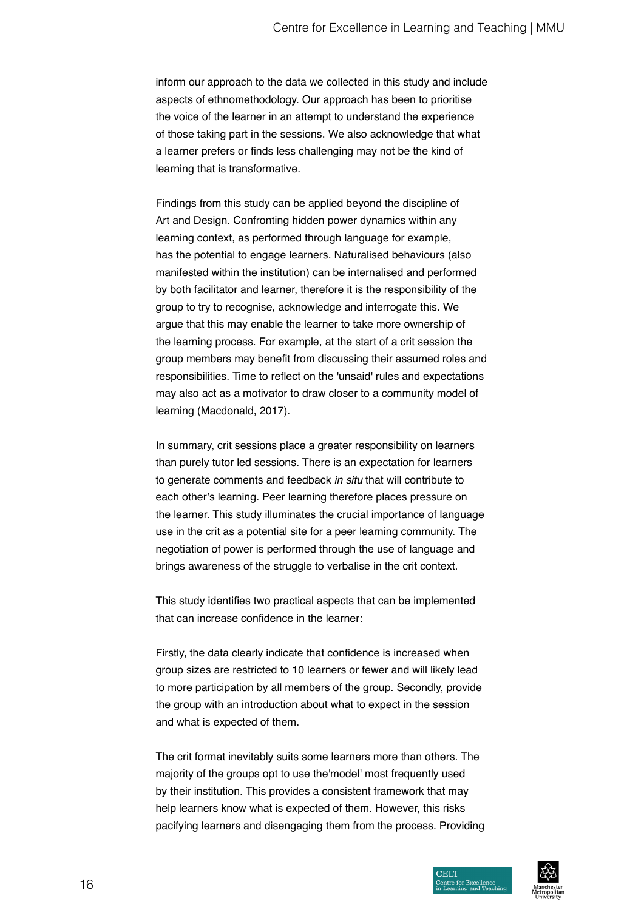inform our approach to the data we collected in this study and include aspects of ethnomethodology. Our approach has been to prioritise the voice of the learner in an attempt to understand the experience of those taking part in the sessions. We also acknowledge that what a learner prefers or finds less challenging may not be the kind of learning that is transformative.

Findings from this study can be applied beyond the discipline of Art and Design. Confronting hidden power dynamics within any learning context, as performed through language for example, has the potential to engage learners. Naturalised behaviours (also manifested within the institution) can be internalised and performed by both facilitator and learner, therefore it is the responsibility of the group to try to recognise, acknowledge and interrogate this. We argue that this may enable the learner to take more ownership of the learning process. For example, at the start of a crit session the group members may benefit from discussing their assumed roles and responsibilities. Time to reflect on the 'unsaid' rules and expectations may also act as a motivator to draw closer to a community model of learning (Macdonald, 2017).

In summary, crit sessions place a greater responsibility on learners than purely tutor led sessions. There is an expectation for learners to generate comments and feedback *in situ* that will contribute to each other's learning. Peer learning therefore places pressure on the learner. This study illuminates the crucial importance of language use in the crit as a potential site for a peer learning community. The negotiation of power is performed through the use of language and brings awareness of the struggle to verbalise in the crit context.

This study identifies two practical aspects that can be implemented that can increase confidence in the learner:

Firstly, the data clearly indicate that confidence is increased when group sizes are restricted to 10 learners or fewer and will likely lead to more participation by all members of the group. Secondly, provide the group with an introduction about what to expect in the session and what is expected of them.

The crit format inevitably suits some learners more than others. The majority of the groups opt to use the'model' most frequently used by their institution. This provides a consistent framework that may help learners know what is expected of them. However, this risks pacifying learners and disengaging them from the process. Providing

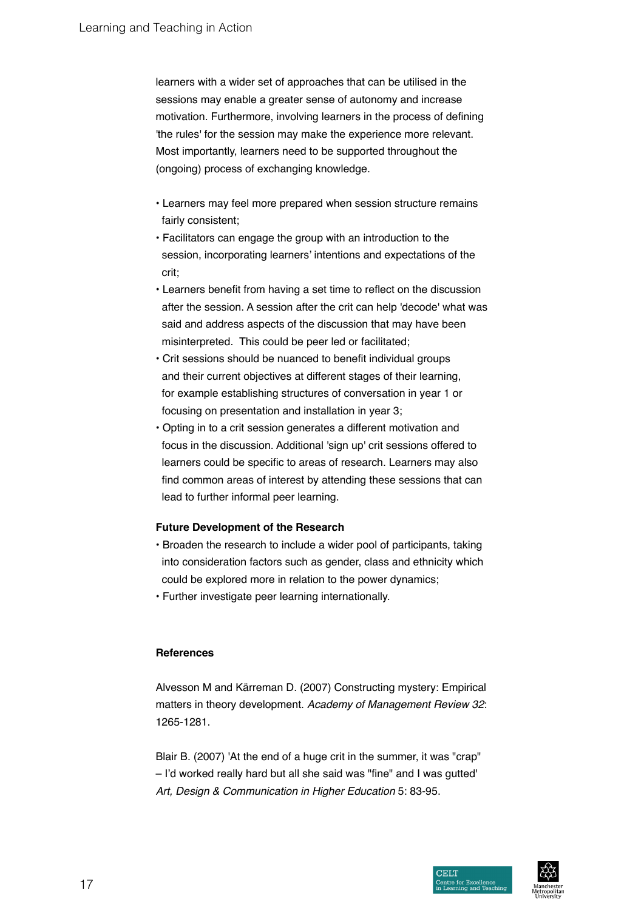learners with a wider set of approaches that can be utilised in the sessions may enable a greater sense of autonomy and increase motivation. Furthermore, involving learners in the process of defining 'the rules' for the session may make the experience more relevant. Most importantly, learners need to be supported throughout the (ongoing) process of exchanging knowledge.

- Learners may feel more prepared when session structure remains fairly consistent;
- Facilitators can engage the group with an introduction to the session, incorporating learners' intentions and expectations of the crit;
- Learners benefit from having a set time to reflect on the discussion after the session. A session after the crit can help 'decode' what was said and address aspects of the discussion that may have been misinterpreted. This could be peer led or facilitated;
- Crit sessions should be nuanced to benefit individual groups and their current objectives at different stages of their learning, for example establishing structures of conversation in year 1 or focusing on presentation and installation in year 3;
- Opting in to a crit session generates a different motivation and focus in the discussion. Additional 'sign up' crit sessions offered to learners could be specific to areas of research. Learners may also find common areas of interest by attending these sessions that can lead to further informal peer learning.

# **Future Development of the Research**

- Broaden the research to include a wider pool of participants, taking into consideration factors such as gender, class and ethnicity which could be explored more in relation to the power dynamics;
- Further investigate peer learning internationally.

# **References**

Alvesson M and Kärreman D. (2007) Constructing mystery: Empirical matters in theory development. Academy of Management Review 32: 1265-1281.

Blair B. (2007) 'At the end of a huge crit in the summer, it was "crap" – I'd worked really hard but all she said was "fine" and I was gutted' Art, Design & Communication in Higher Education 5: 83-95.

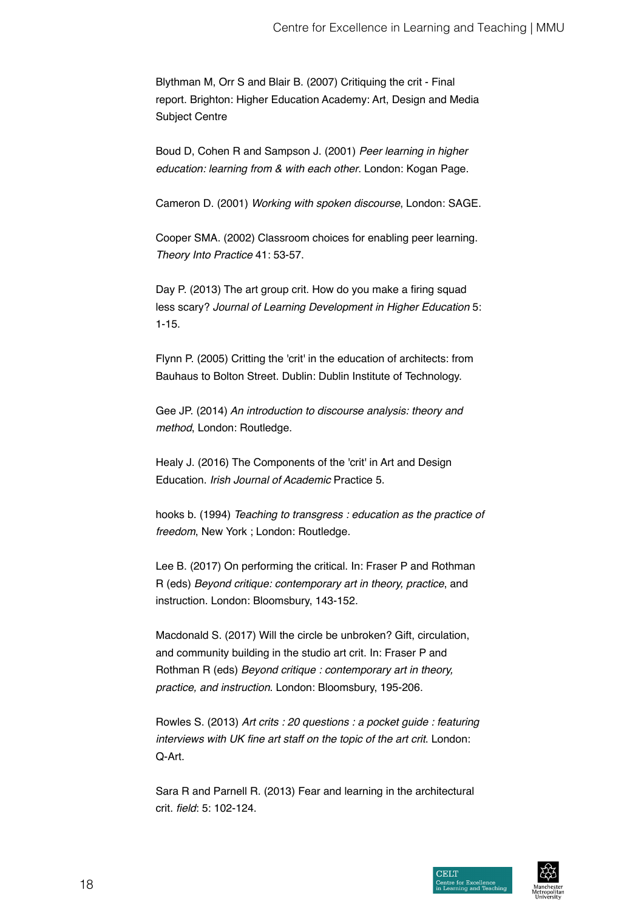Blythman M, Orr S and Blair B. (2007) Critiquing the crit - Final report. Brighton: Higher Education Academy: Art, Design and Media Subject Centre

Boud D, Cohen R and Sampson J. (2001) Peer learning in higher education: learning from & with each other. London: Kogan Page.

Cameron D. (2001) Working with spoken discourse, London: SAGE.

Cooper SMA. (2002) Classroom choices for enabling peer learning. Theory Into Practice 41: 53-57.

Day P. (2013) The art group crit. How do you make a firing squad less scary? Journal of Learning Development in Higher Education 5: 1-15.

Flynn P. (2005) Critting the 'crit' in the education of architects: from Bauhaus to Bolton Street. Dublin: Dublin Institute of Technology.

Gee JP. (2014) An introduction to discourse analysis: theory and method, London: Routledge.

Healy J. (2016) The Components of the 'crit' in Art and Design Education. Irish Journal of Academic Practice 5.

hooks b. (1994) Teaching to transgress : education as the practice of freedom, New York ; London: Routledge.

Lee B. (2017) On performing the critical. In: Fraser P and Rothman R (eds) Beyond critique: contemporary art in theory, practice, and instruction. London: Bloomsbury, 143-152.

Macdonald S. (2017) Will the circle be unbroken? Gift, circulation, and community building in the studio art crit. In: Fraser P and Rothman R (eds) Beyond critique : contemporary art in theory, practice, and instruction. London: Bloomsbury, 195-206.

Rowles S. (2013) Art crits : 20 questions : a pocket guide : featuring interviews with UK fine art staff on the topic of the art crit. London: Q-Art.

Sara R and Parnell R. (2013) Fear and learning in the architectural crit. field: 5: 102-124.

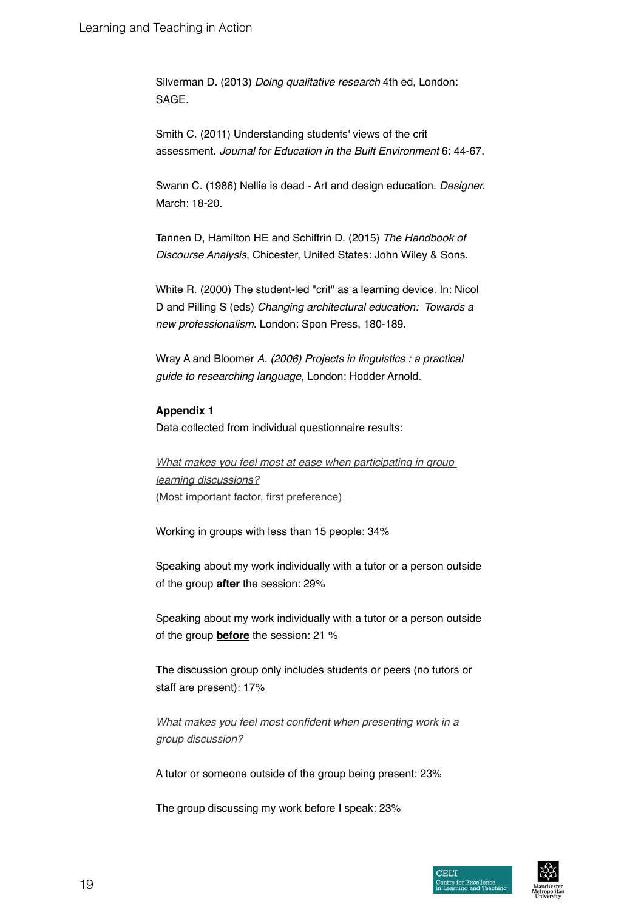Silverman D. (2013) Doing qualitative research 4th ed, London: SAGE.

Smith C. (2011) Understanding students' views of the crit assessment. Journal for Education in the Built Environment 6: 44-67.

Swann C. (1986) Nellie is dead - Art and design education. Designer. March: 18-20.

Tannen D, Hamilton HE and Schiffrin D. (2015) The Handbook of Discourse Analysis, Chicester, United States: John Wiley & Sons.

White R. (2000) The student-led "crit" as a learning device. In: Nicol D and Pilling S (eds) Changing architectural education: Towards a new professionalism. London: Spon Press, 180-189.

Wray A and Bloomer A. (2006) Projects in linguistics : a practical *guide to researching language*, London: Hodder Arnold.

# **Appendix 1**

Data collected from individual questionnaire results:

What makes you feel most at ease when participating in group learning discussions? (Most important factor, first preference)

Working in groups with less than 15 people: 34%

Speaking about my work individually with a tutor or a person outside of the group **after** the session: 29%

Speaking about my work individually with a tutor or a person outside of the group **before** the session: 21 %

The discussion group only includes students or peers (no tutors or staff are present): 17%

What makes you feel most confident when presenting work in a group discussion?

A tutor or someone outside of the group being present: 23%

The group discussing my work before I speak: 23%